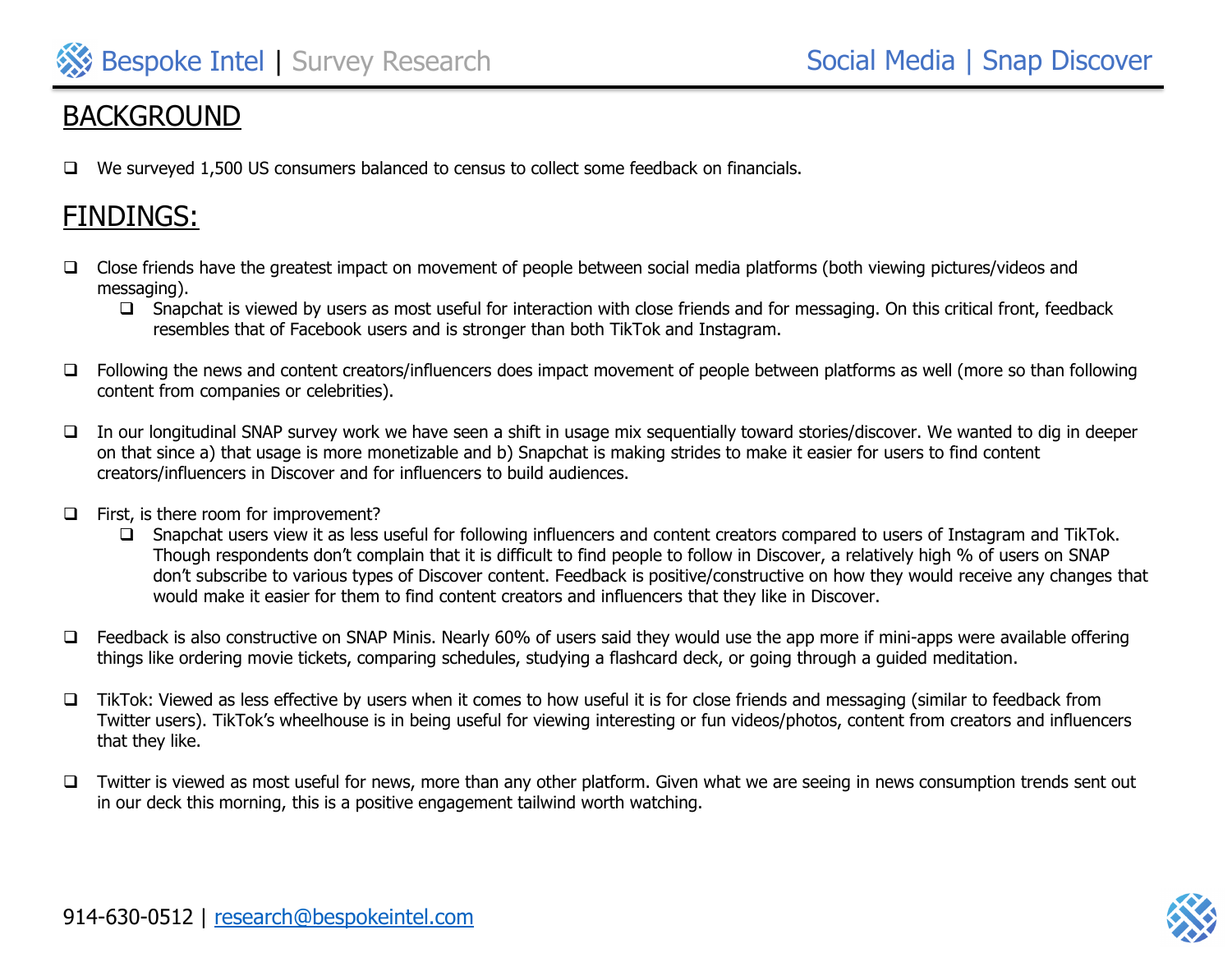

# **BACKGROUND**

❑ We surveyed 1,500 US consumers balanced to census to collect some feedback on financials.

# FINDINGS:

- ❑ Close friends have the greatest impact on movement of people between social media platforms (both viewing pictures/videos and messaging).
	- ❑ Snapchat is viewed by users as most useful for interaction with close friends and for messaging. On this critical front, feedback resembles that of Facebook users and is stronger than both TikTok and Instagram.
- ❑ Following the news and content creators/influencers does impact movement of people between platforms as well (more so than following content from companies or celebrities).
- ❑ In our longitudinal SNAP survey work we have seen a shift in usage mix sequentially toward stories/discover. We wanted to dig in deeper on that since a) that usage is more monetizable and b) Snapchat is making strides to make it easier for users to find content creators/influencers in Discover and for influencers to build audiences.
- ❑ First, is there room for improvement?
	- ❑ Snapchat users view it as less useful for following influencers and content creators compared to users of Instagram and TikTok. Though respondents don't complain that it is difficult to find people to follow in Discover, a relatively high % of users on SNAP don't subscribe to various types of Discover content. Feedback is positive/constructive on how they would receive any changes that would make it easier for them to find content creators and influencers that they like in Discover.
- ❑ Feedback is also constructive on SNAP Minis. Nearly 60% of users said they would use the app more if mini-apps were available offering things like ordering movie tickets, comparing schedules, studying a flashcard deck, or going through a guided meditation.
- ❑ TikTok: Viewed as less effective by users when it comes to how useful it is for close friends and messaging (similar to feedback from Twitter users). TikTok's wheelhouse is in being useful for viewing interesting or fun videos/photos, content from creators and influencers that they like.
- ❑ Twitter is viewed as most useful for news, more than any other platform. Given what we are seeing in news consumption trends sent out in our deck this morning, this is a positive engagement tailwind worth watching.

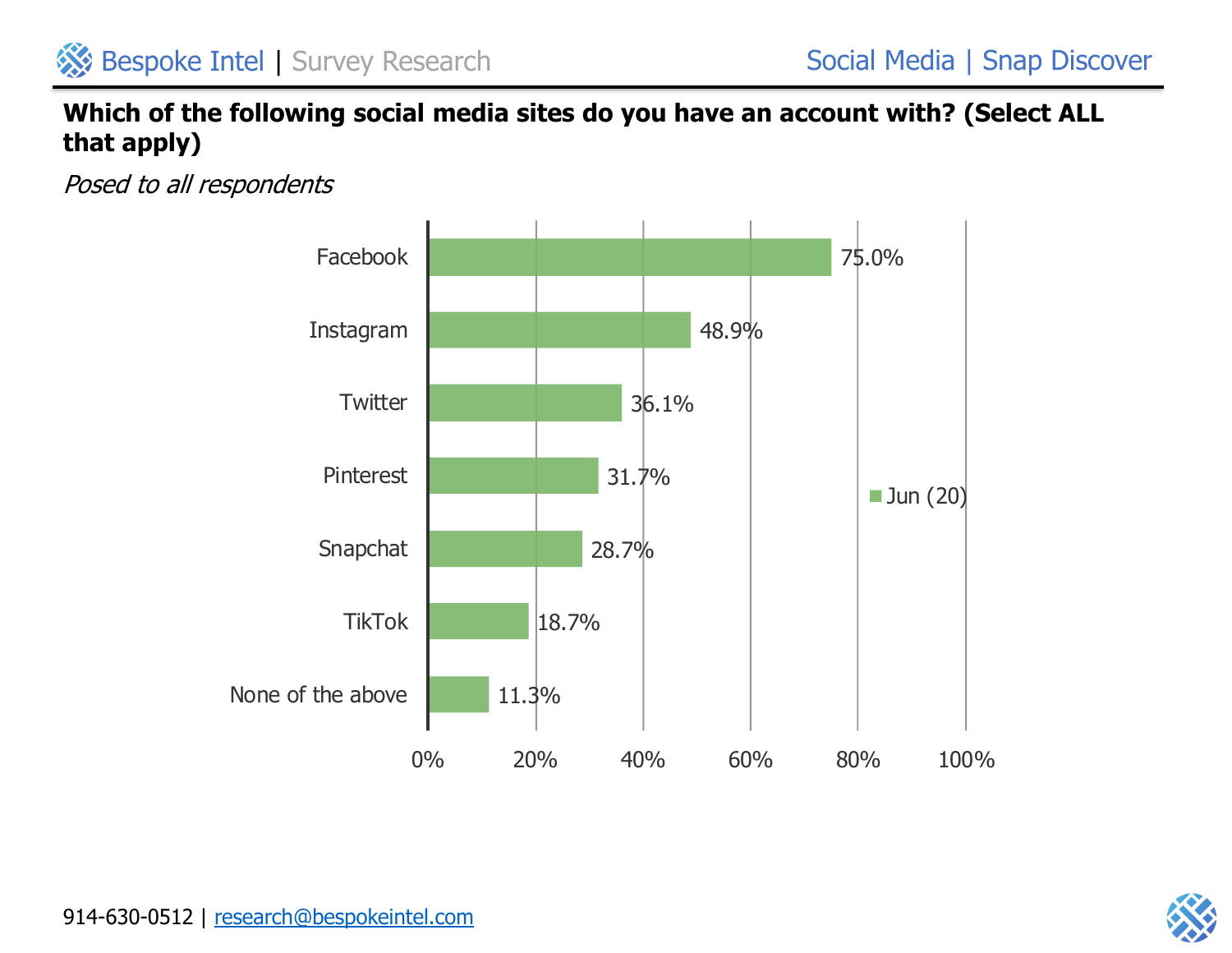# **Which of the following social media sites do you have an account with? (Select ALL that apply)**



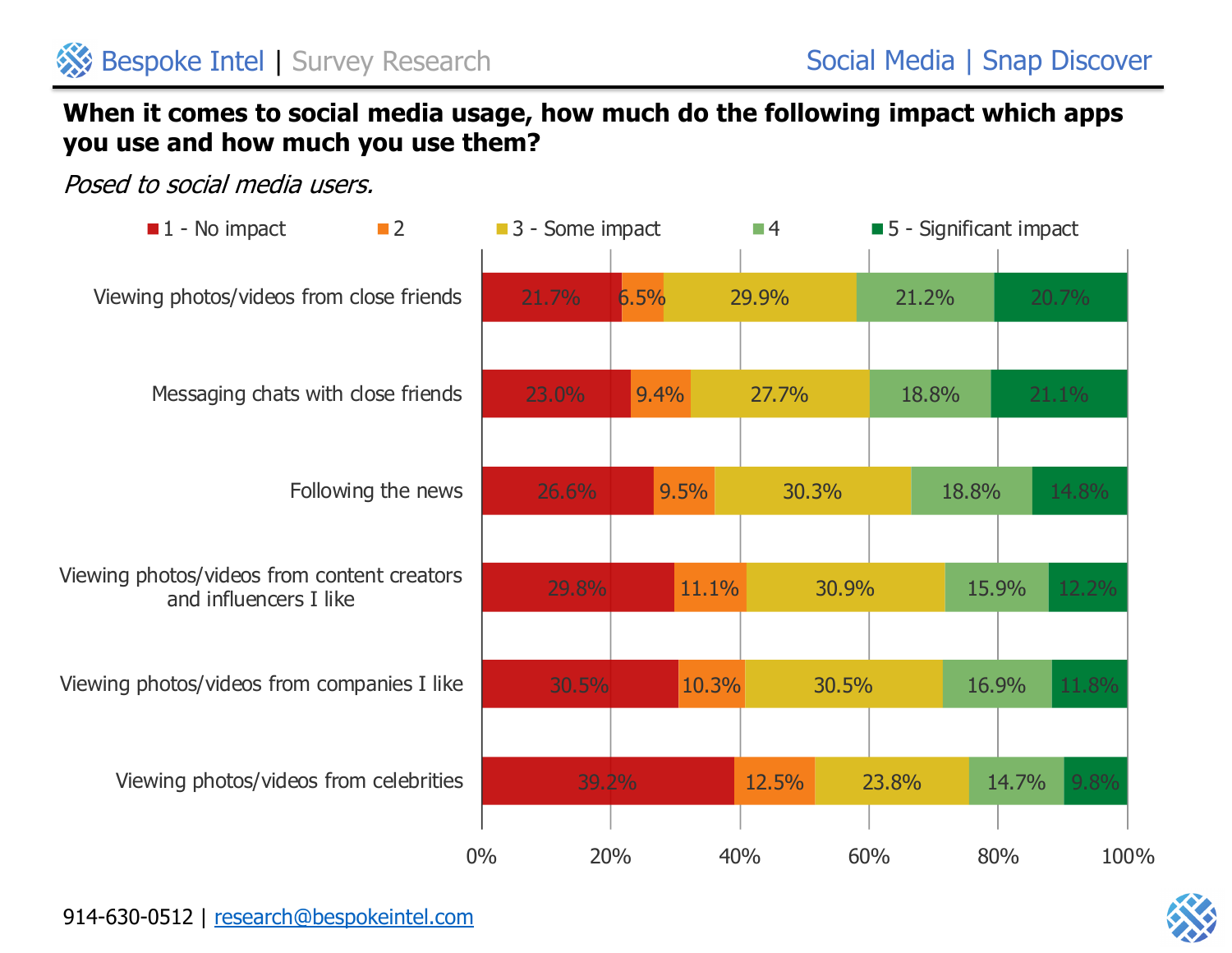## **When it comes to social media usage, how much do the following impact which apps you use and how much you use them?**

Posed to social media users.



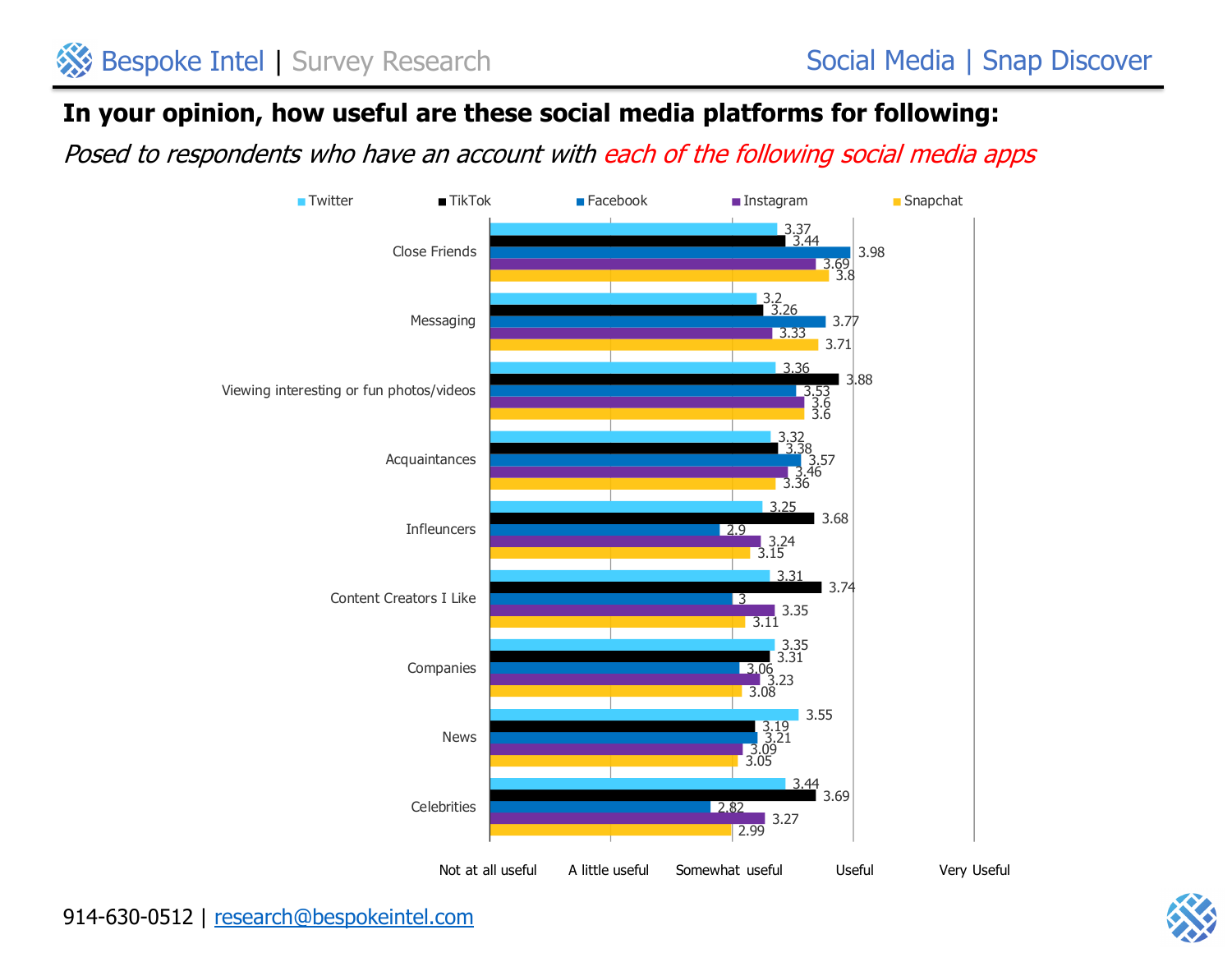#### **In your opinion, how useful are these social media platforms for following:**

Posed to respondents who have an account with each of the following social media apps



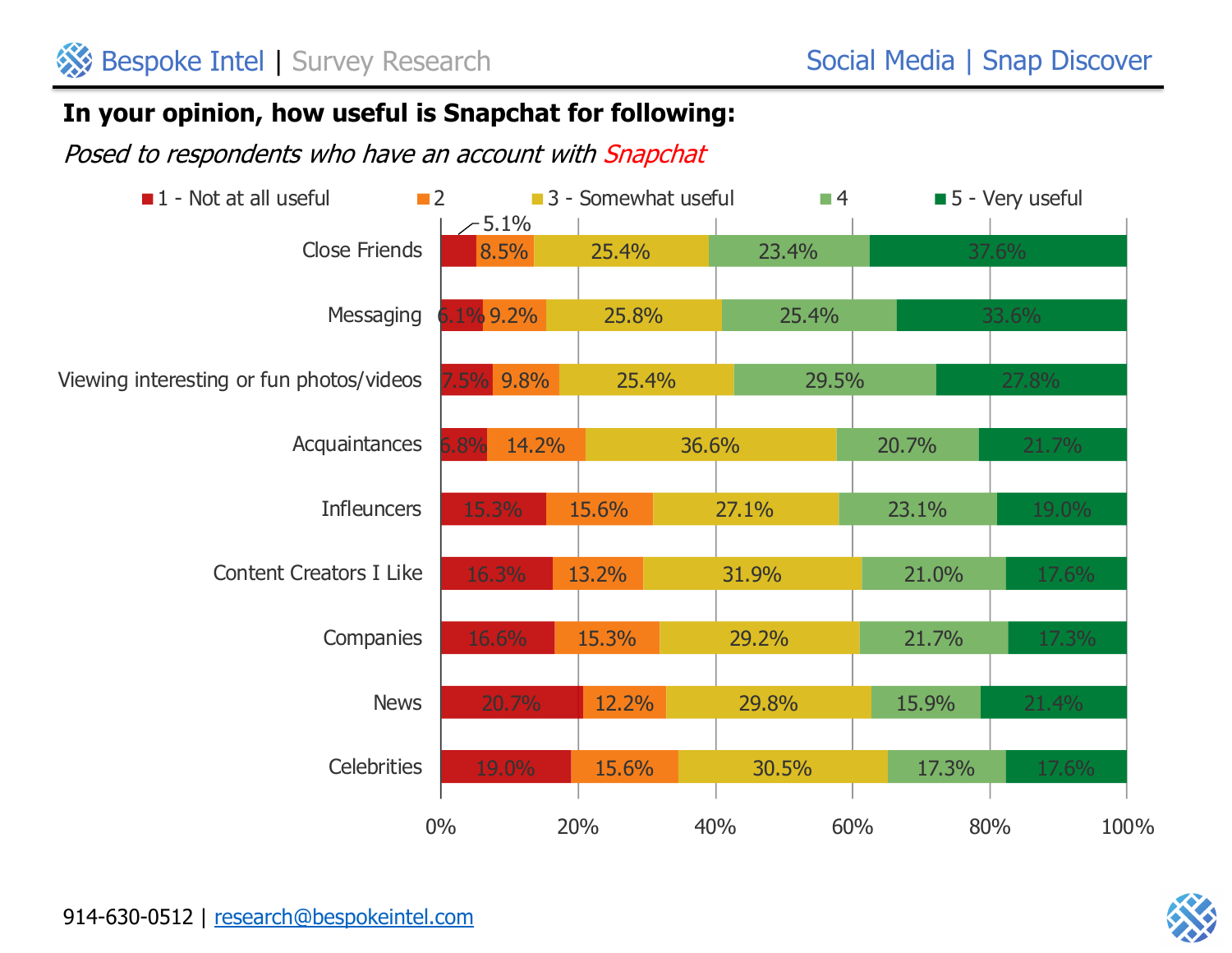# **In your opinion, how useful is Snapchat for following:**



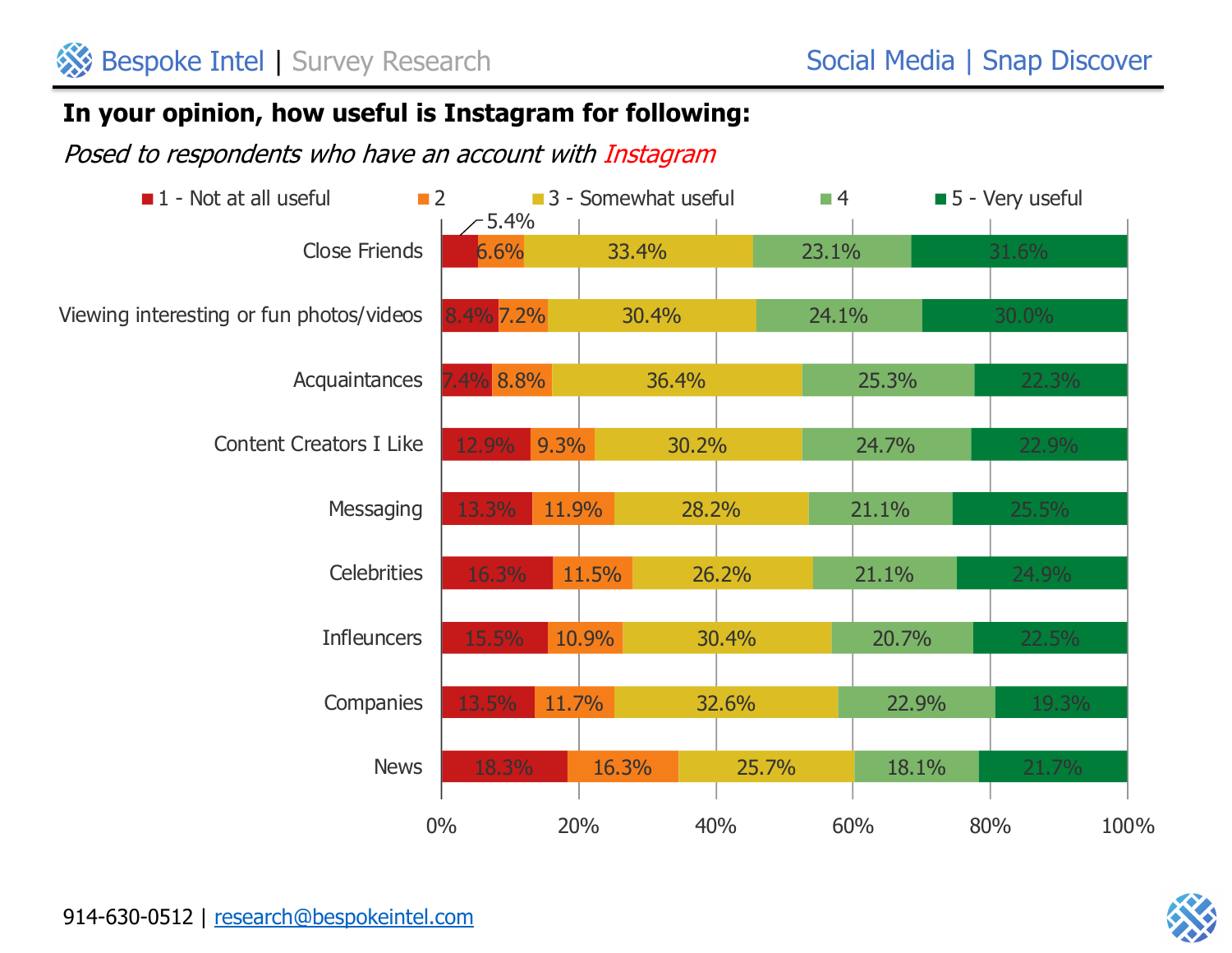# **In your opinion, how useful is Instagram for following:**

Posed to respondents who have an account with Instagram



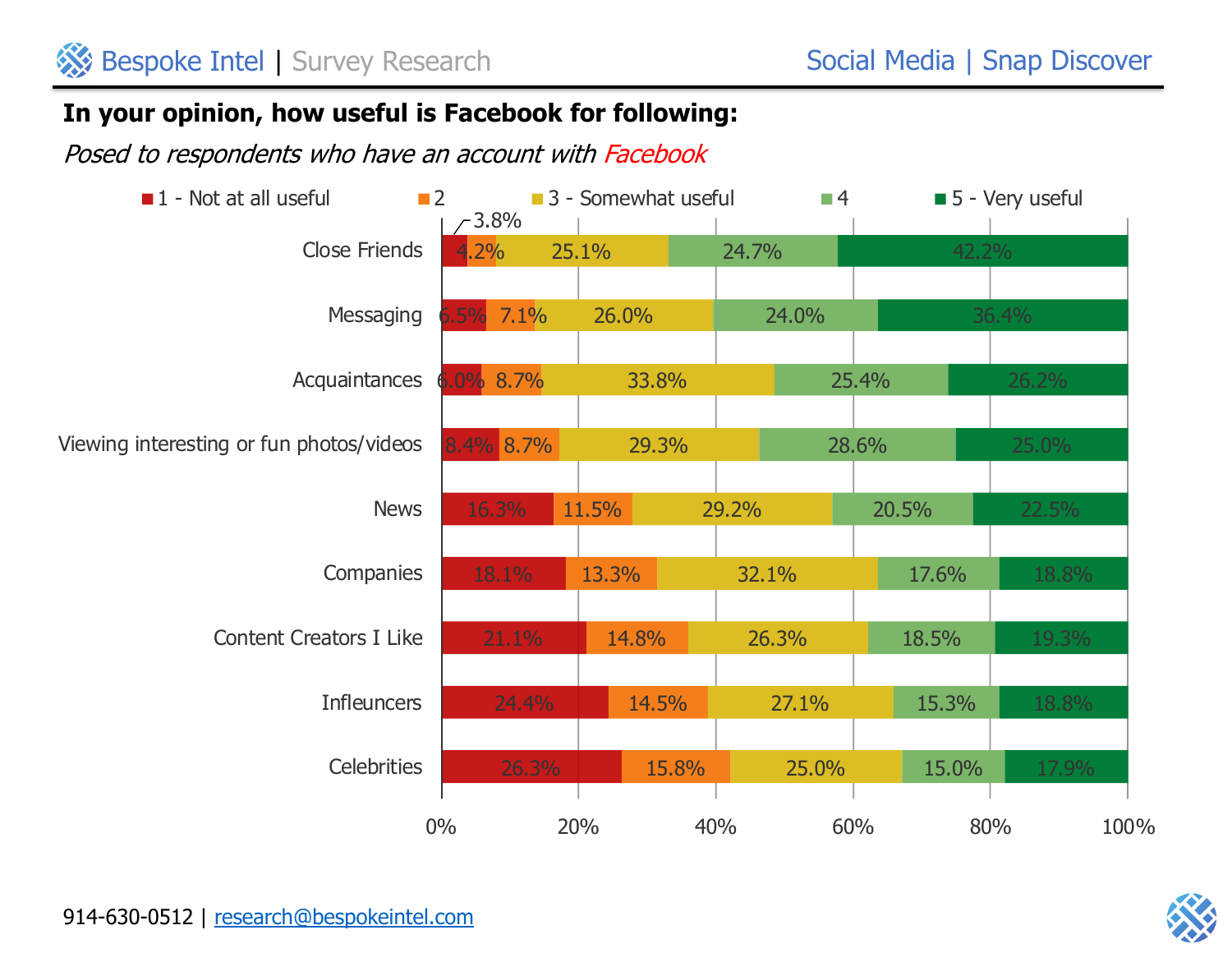# **In your opinion, how useful is Facebook for following:**

Posed to respondents who have an account with Facebook



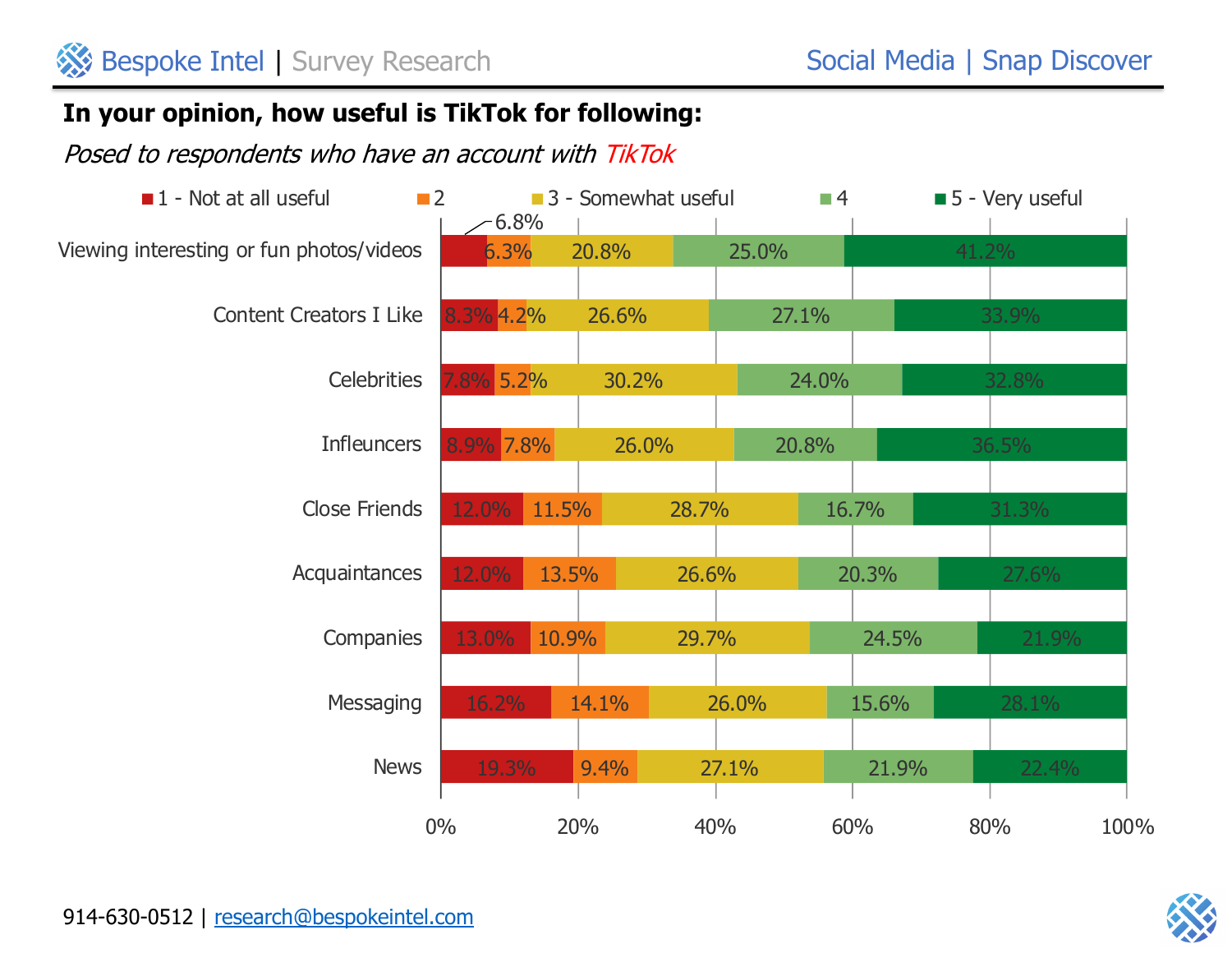# **In your opinion, how useful is TikTok for following:**

Posed to respondents who have an account with TikTok



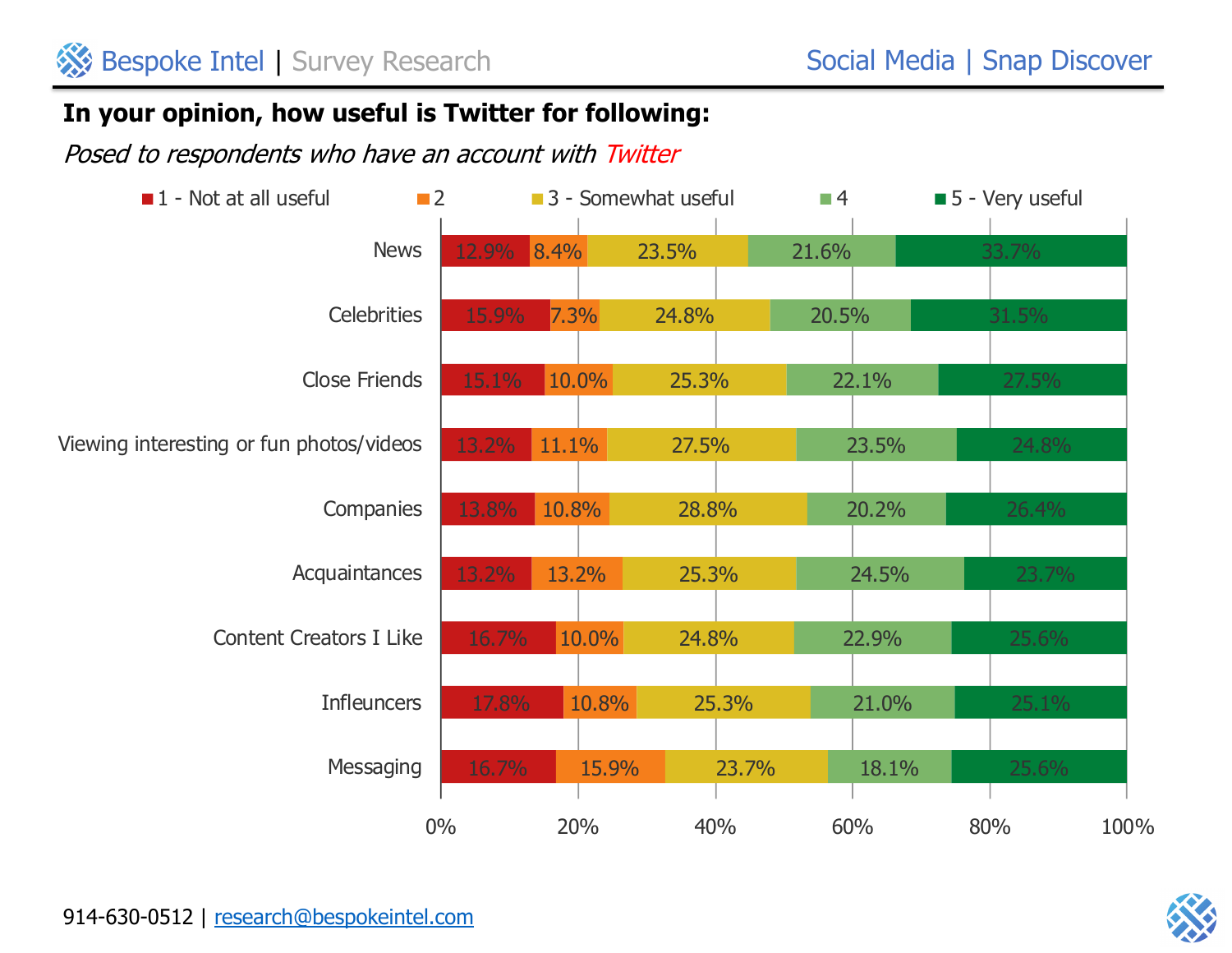# **In your opinion, how useful is Twitter for following:**

Posed to respondents who have an account with Twitter



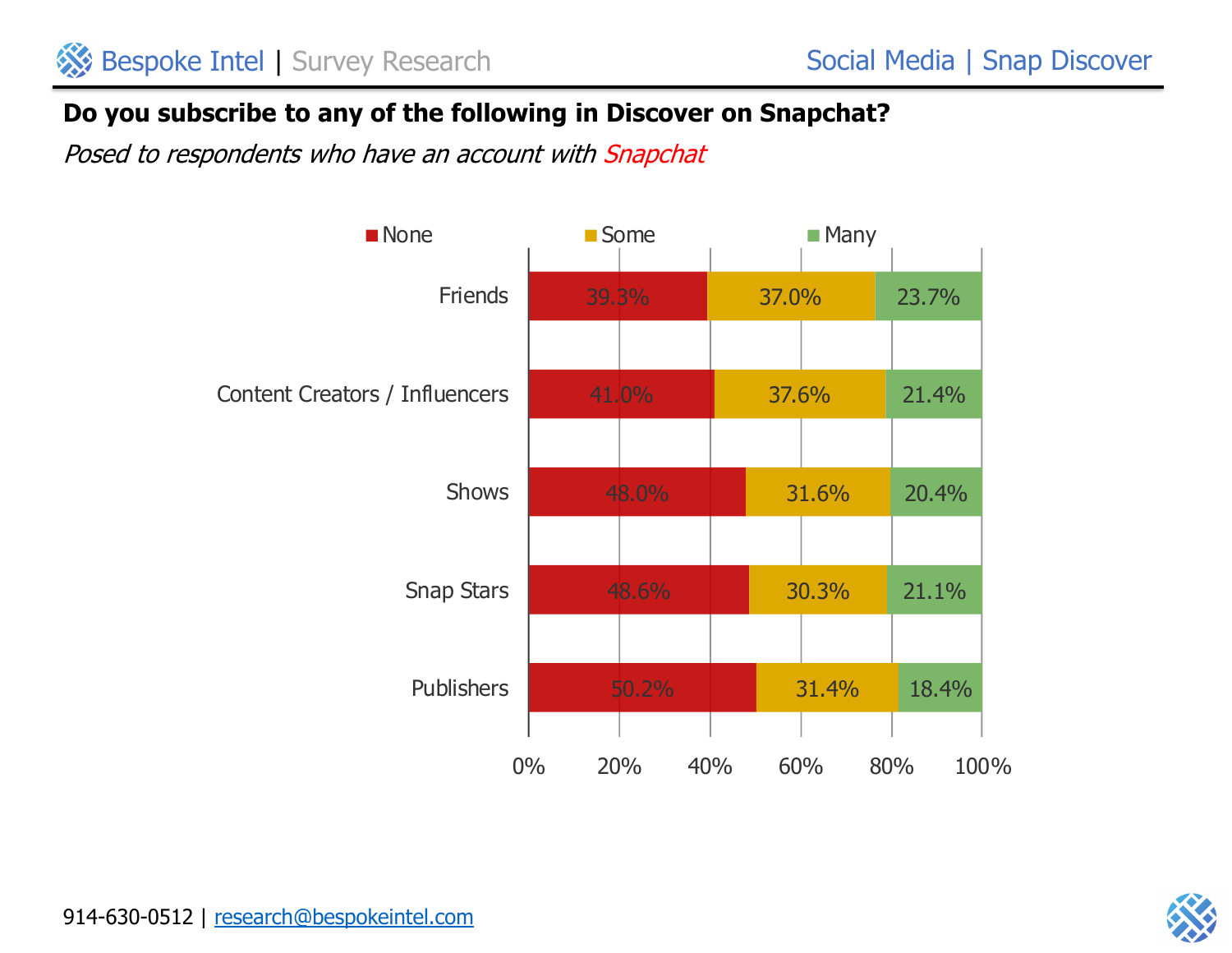# **Do you subscribe to any of the following in Discover on Snapchat?**



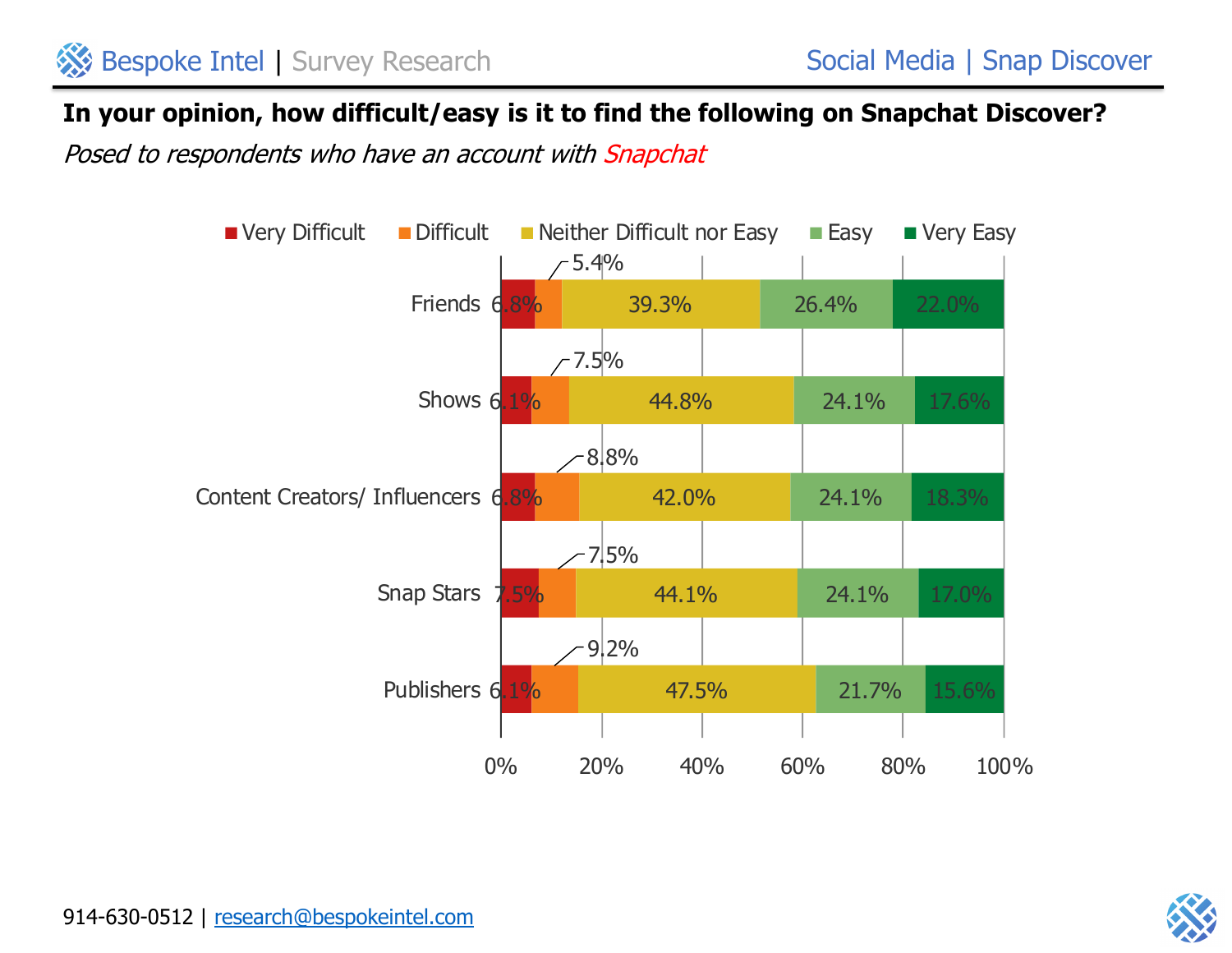#### **In your opinion, how difficult/easy is it to find the following on Snapchat Discover?**



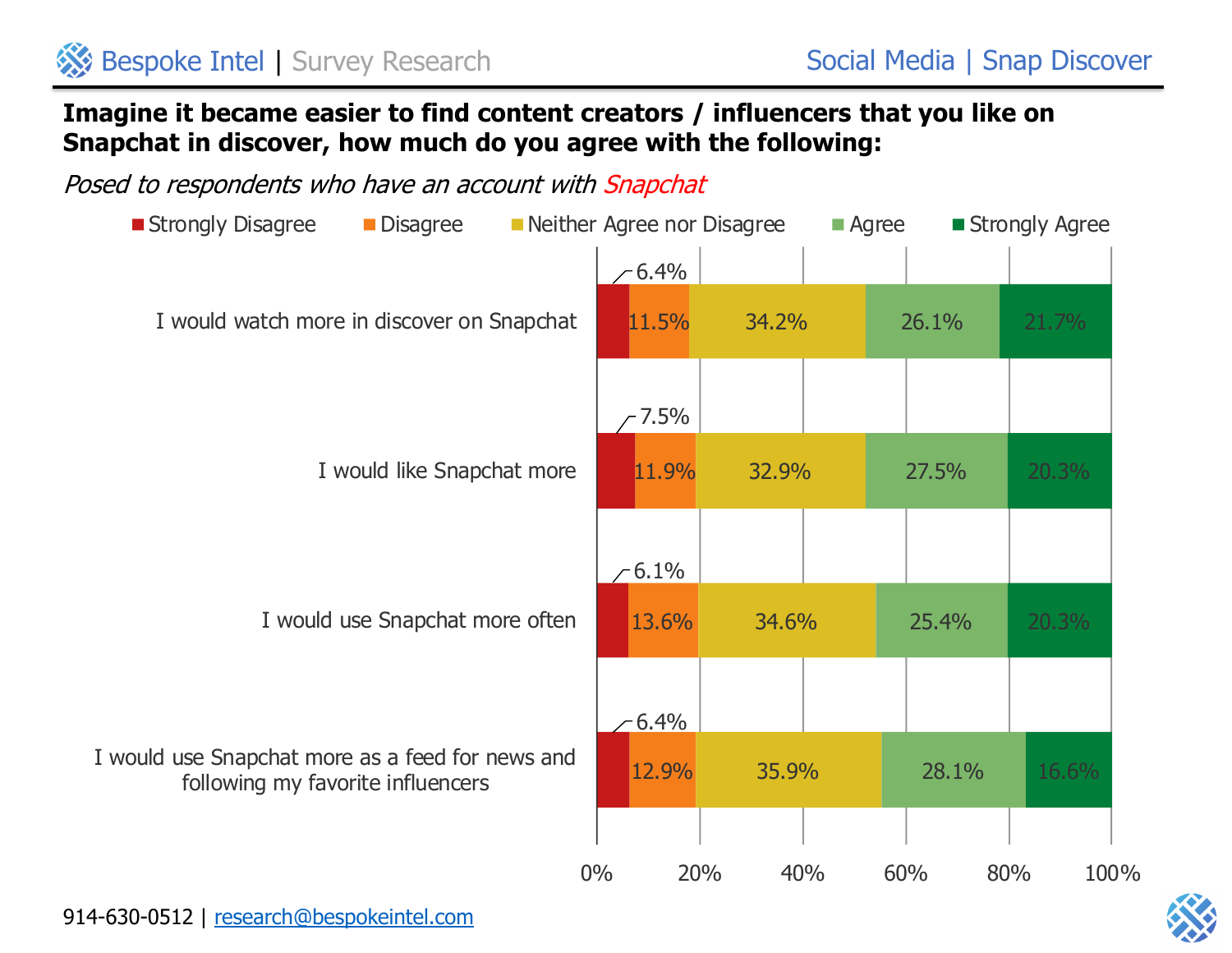## **Imagine it became easier to find content creators / influencers that you like on Snapchat in discover, how much do you agree with the following:**



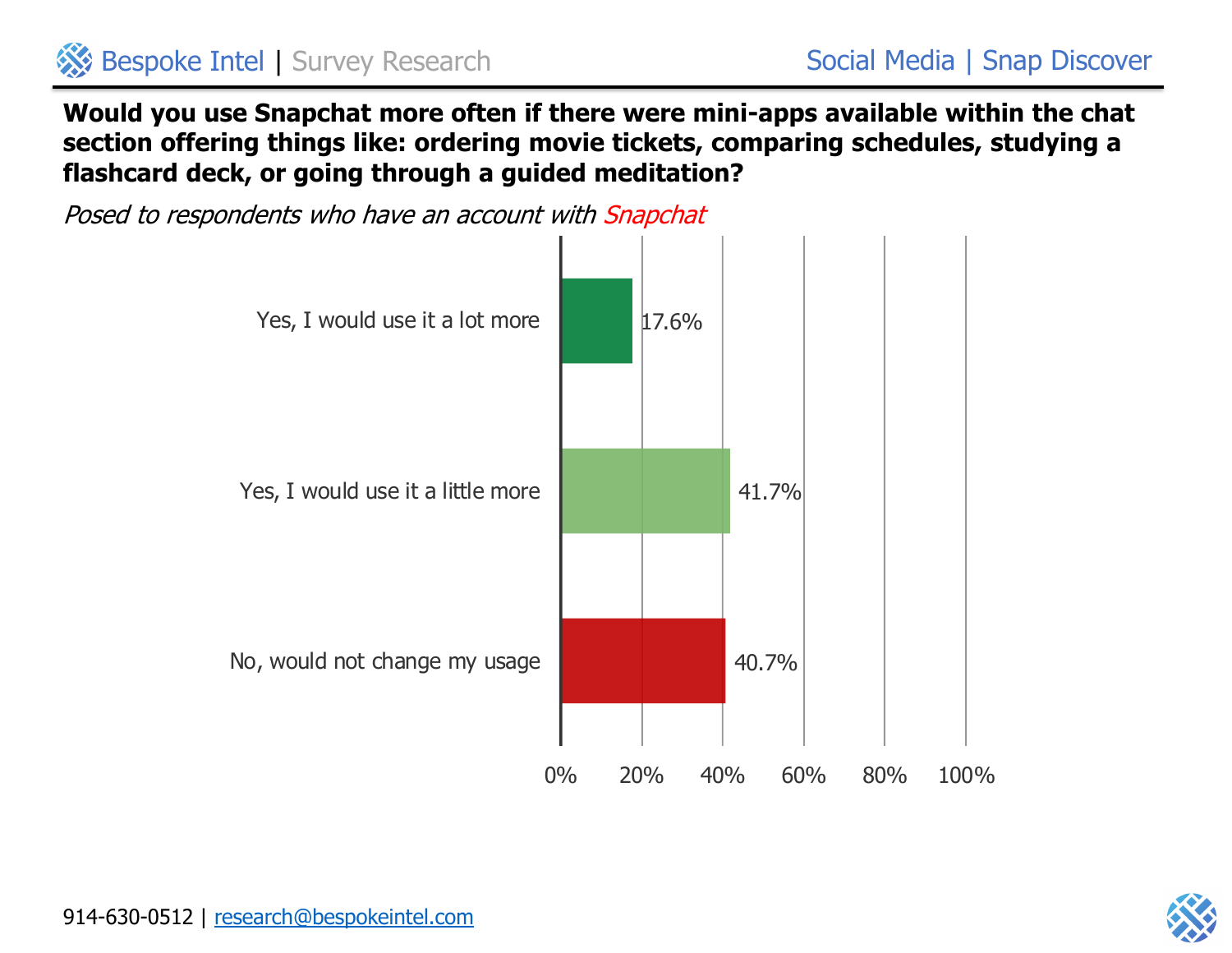

**Would you use Snapchat more often if there were mini-apps available within the chat section offering things like: ordering movie tickets, comparing schedules, studying a flashcard deck, or going through a guided meditation?**



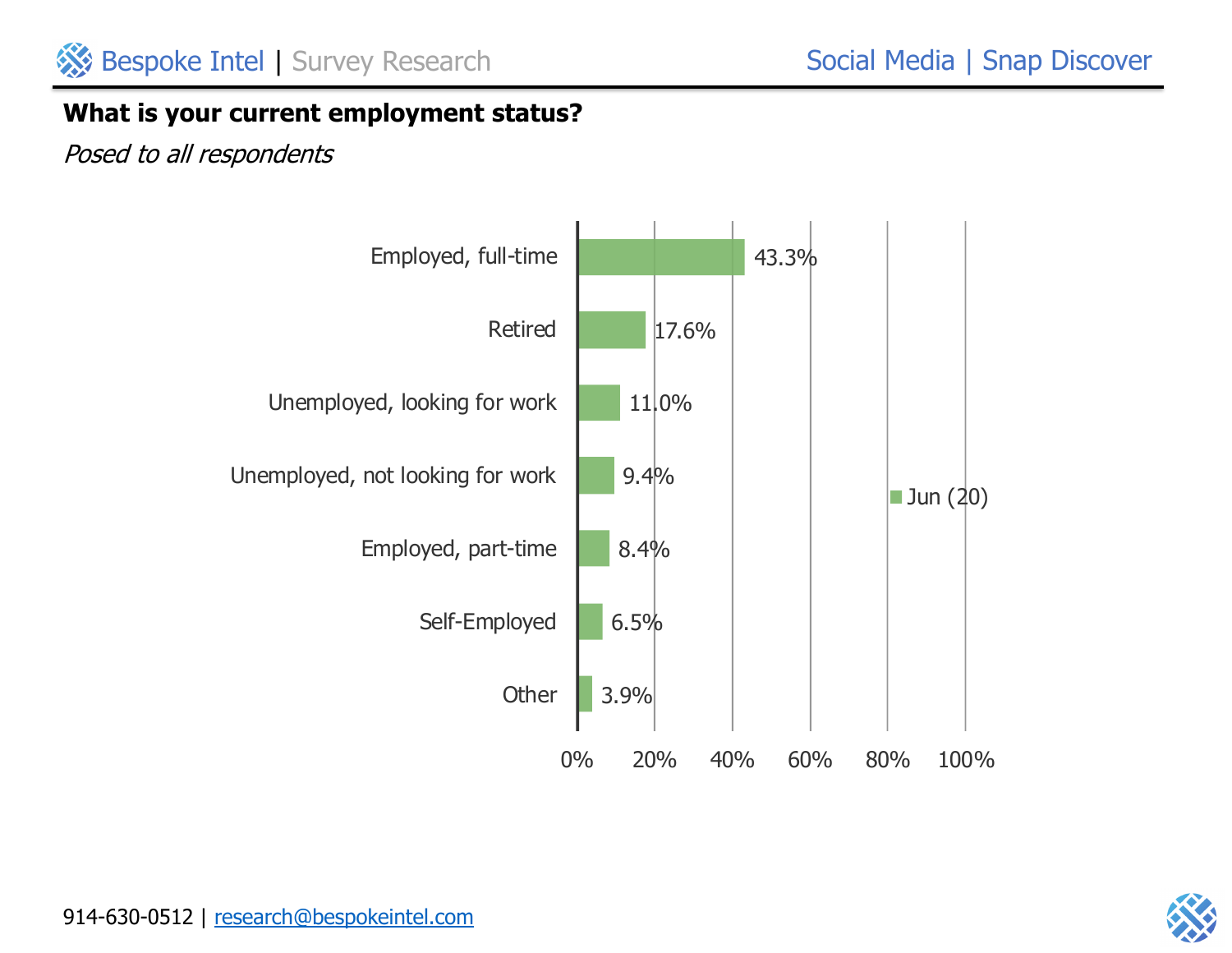#### **What is your current employment status?**



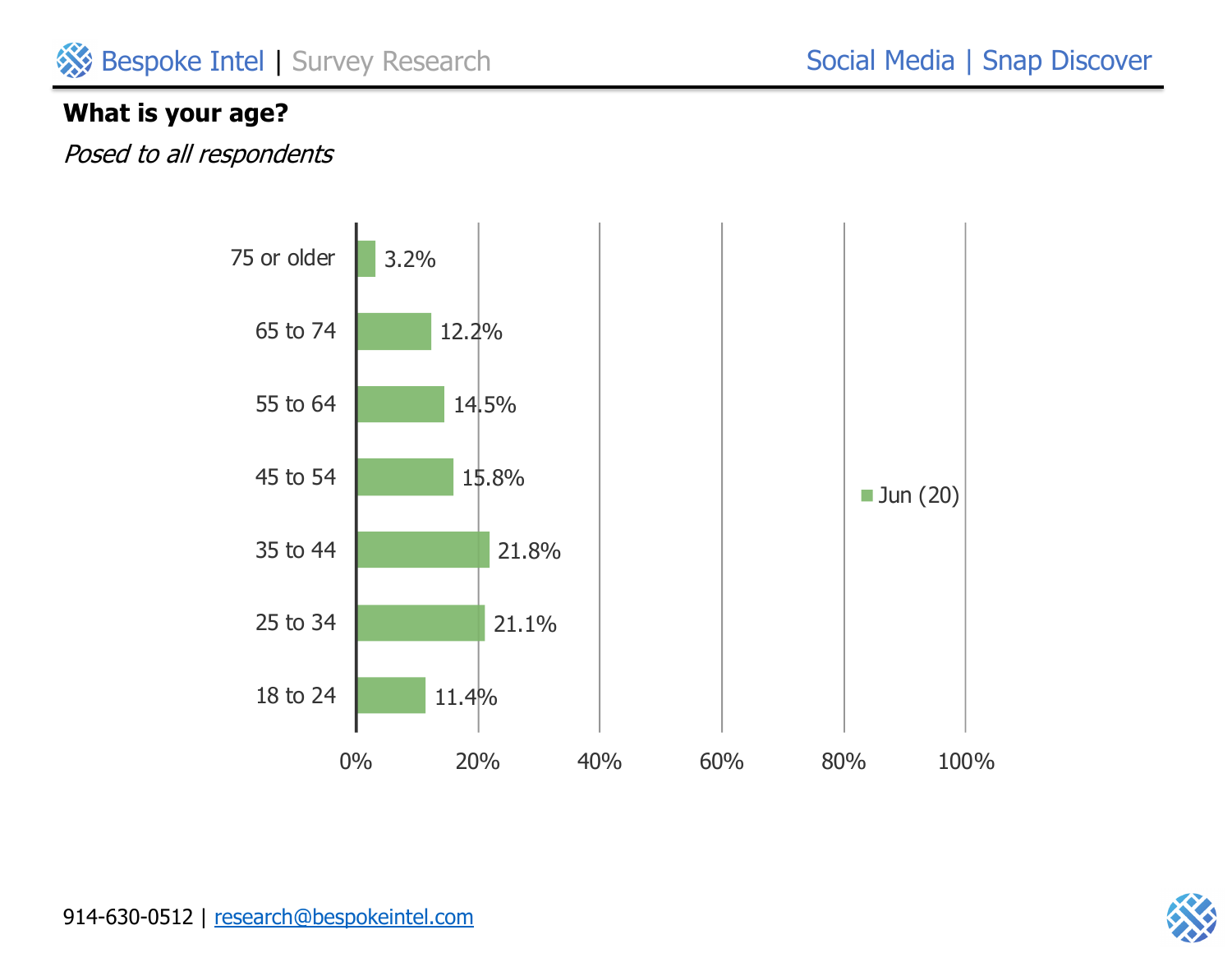# **What is your age?**





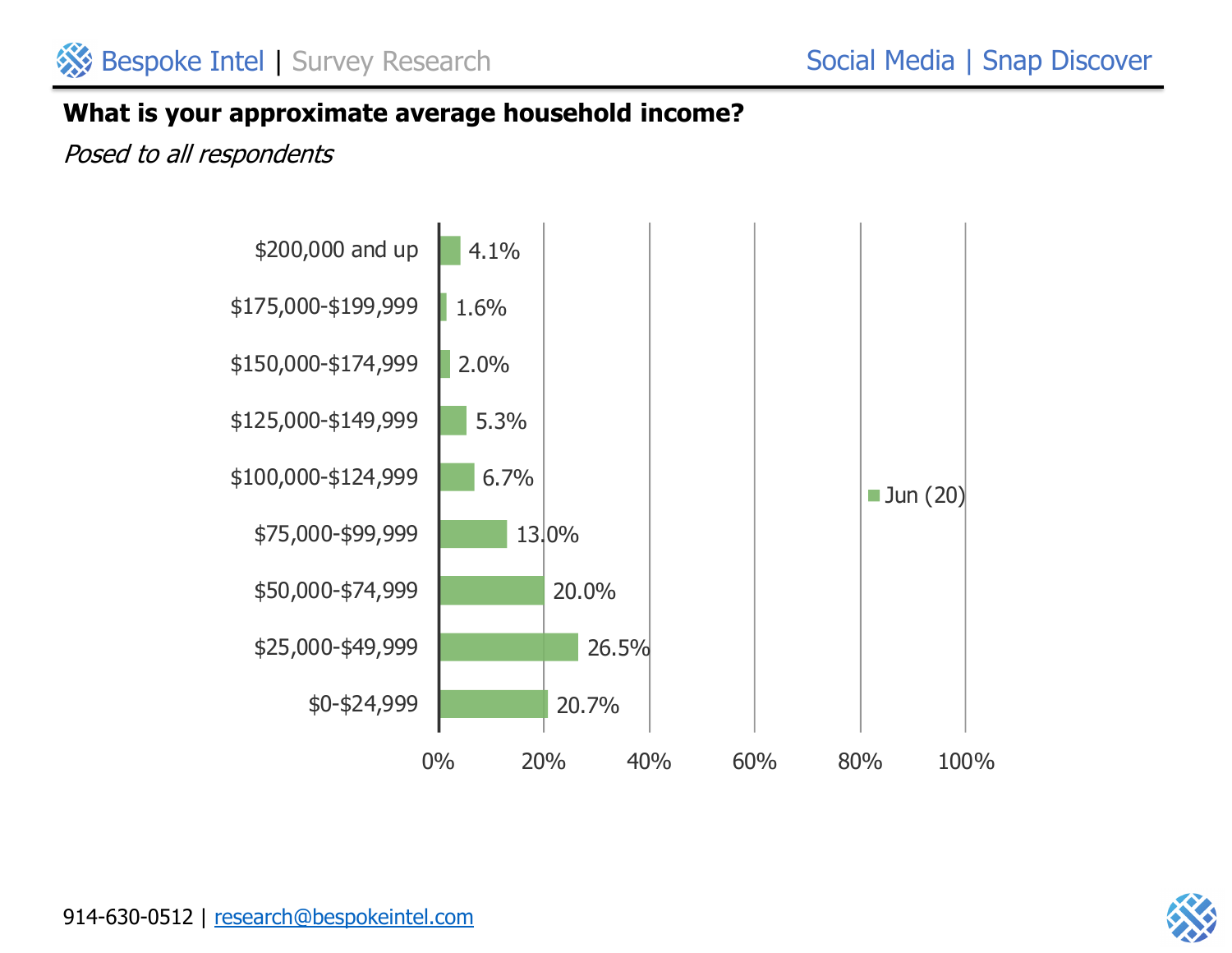#### **What is your approximate average household income?**



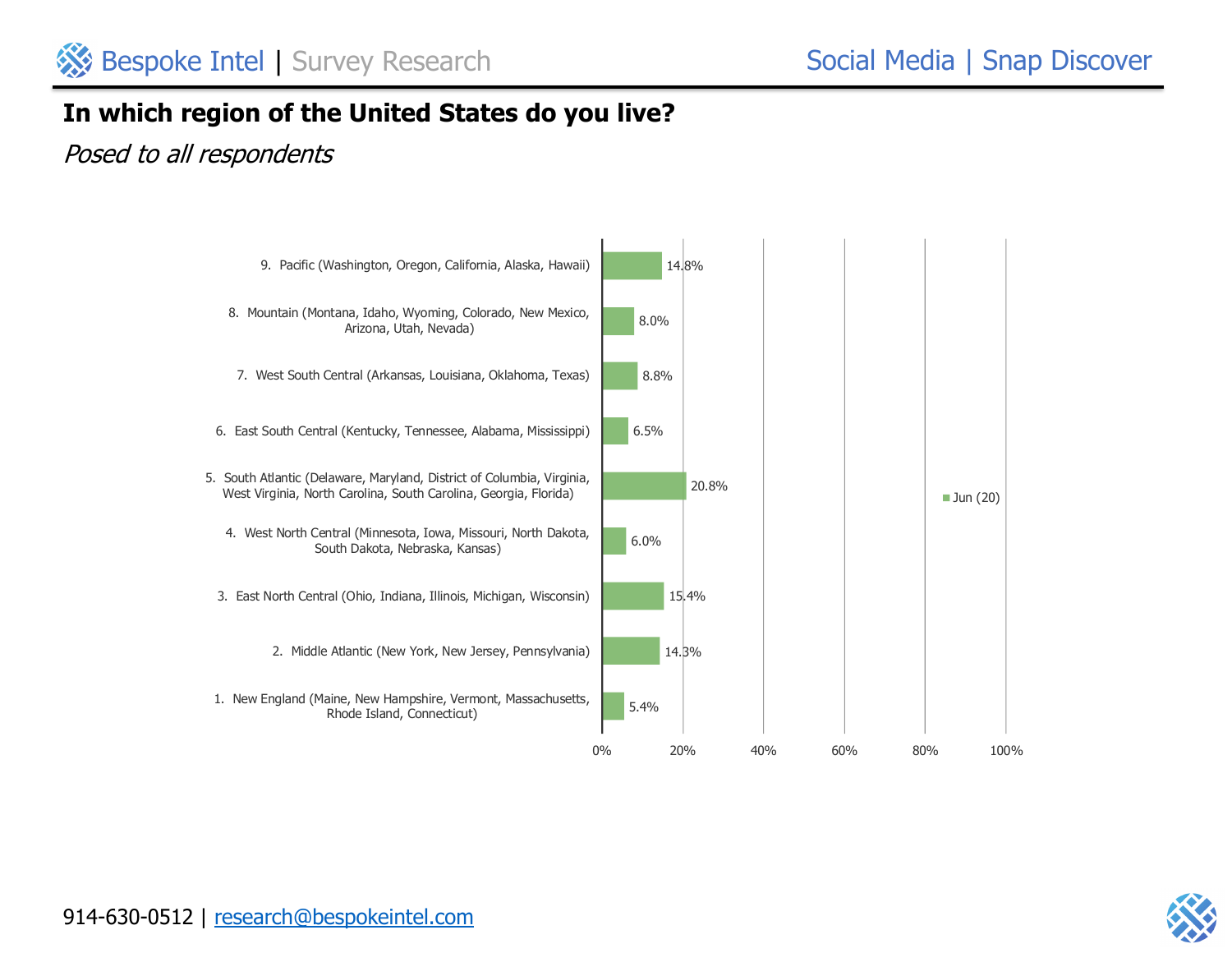# **In which region of the United States do you live?**



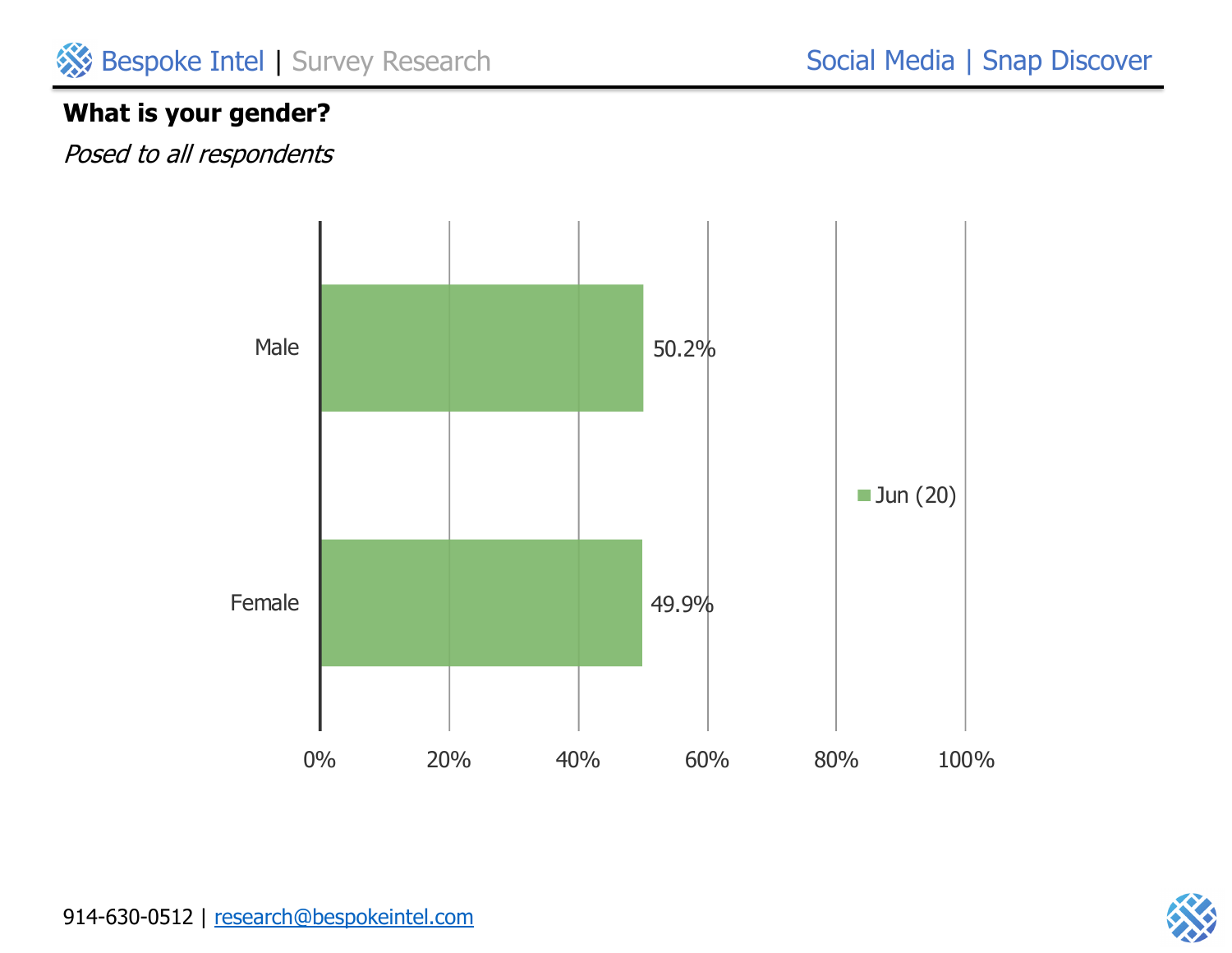

# Social Media | Snap Discover

# **What is your gender?**